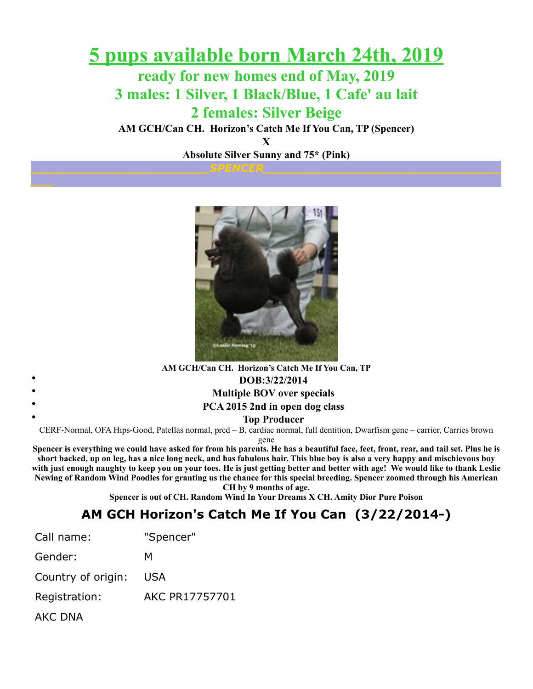### **5 pups available born March 24th, 2019**

**ready for new homes end of May, 2019 3 males: 1 Silver, 1 Black/Blue, 1 Cafe' au lait 2 females: Silver Beige**

**AM GCH/Can CH. Horizon's Catch Me If You Can, TP (Spencer)**

**X**

**Absolute Silver Sunny and 75\* (Pink)**



**AM GCH/Can CH. Horizon's Catch Me If You Can, TP** • **DOB:3/22/2014** • **Multiple BOV over specials** • **PCA 2015 2nd in open dog class** • **Top Producer** CERF-Normal, OFA Hips-Good, Patellas normal, prcd – B, cardiac normal, full dentition, Dwarfism gene – carrier, Carries brown

gene

**Spencer is everything we could have asked for from his parents. He has a beautiful face, feet, front, rear, and tail set. Plus he is short backed, up on leg, has a nice long neck, and has fabulous hair. This blue boy is also a very happy and mischievous boy with just enough naughty to keep you on your toes. He is just getting better and better with age! We would like to thank Leslie Newing of Random Wind Poodles for granting us the chance for this special breeding. Spencer zoomed through his American CH by 9 months of age.**

**Spencer is out of CH. Random Wind In Your Dreams X CH. Amity Dior Pure Poison**

### **AM GCH Horizon's Catch Me If You Can (3/22/2014-)**

| Call name:         | "Spencer"             |
|--------------------|-----------------------|
| Gender:            | м                     |
| Country of origin: | <b>USA</b>            |
| Registration:      | <b>AKC PR17757701</b> |
| AKC DNA            |                       |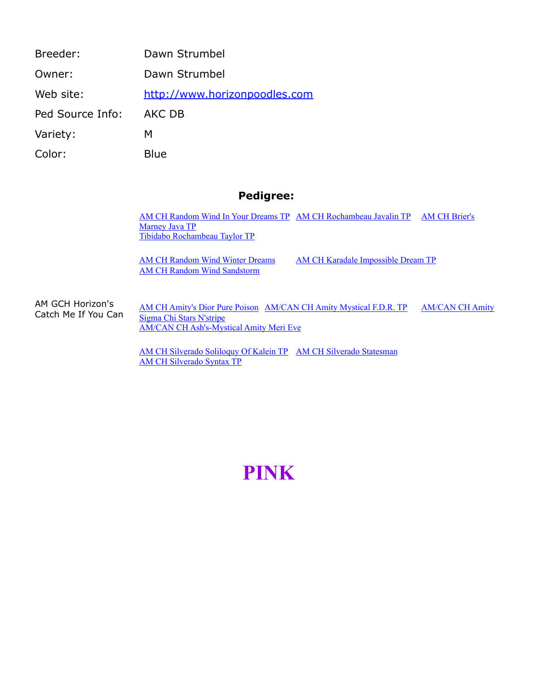| Breeder:         | Dawn Strumbel                 |
|------------------|-------------------------------|
| Owner:           | Dawn Strumbel                 |
| Web site:        | http://www.horizonpoodles.com |
| Ped Source Info: | AKC DB                        |
| Variety:         | м                             |
| Color:           | Blue                          |

#### **Pedigree:**

[AM CH Random Wind In Your Dreams T](http://poodledata.org/pedigree.asp?ID=129712)[P](http://poodledata.org/pedigree.asp?ID=9222) [AM CH Rochambeau Javalin TP](http://poodledata.org/pedigree.asp?ID=9953) AM CH Brier's Marney Java TP [Tibidabo Rochambeau Taylor TP](http://poodledata.org/pedigree.asp?ID=54849)

[AM CH Random Wind Sandstorm](http://poodledata.org/pedigree.asp?ID=35137)

[AM CH Random Wind Winter Dreams](http://poodledata.org/pedigree.asp?ID=35146) [AM CH Karadale Impossible Dream TP](http://poodledata.org/pedigree.asp?ID=17818)

AM GCH Horizon's Catch Me If You Can [AM CH Amity's Dior Pure Poison](http://poodledata.org/pedigree.asp?ID=411928) [AM/CAN CH Amity Mystical F.D.R. T](http://poodledata.org/pedigree.asp?ID=145302)[P](http://poodledata.org/pedigree.asp?ID=331117) AM/CAN CH Amity Sigma Chi Stars N'stripe [AM/CAN CH Ash's-Mystical Amity Meri Eve](http://poodledata.org/pedigree.asp?ID=120440)

> [AM CH Silverado Soliloquy Of Kalein TP](http://poodledata.org/pedigree.asp?ID=48299) [AM CH Silverado Statesman](http://poodledata.org/pedigree.asp?ID=48300) [AM CH Silverado Syntax TP](http://poodledata.org/pedigree.asp?ID=37659)

## **PINK**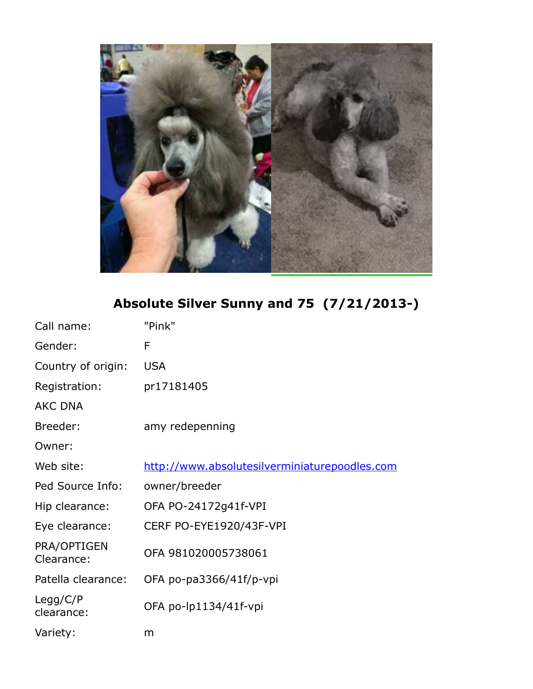

**Absolute Silver Sunny and 75 (7/21/2013-)**

| Call name:                | "Pink"                                        |
|---------------------------|-----------------------------------------------|
| Gender:                   | F                                             |
| Country of origin:        | <b>USA</b>                                    |
| Registration:             | pr17181405                                    |
| <b>AKC DNA</b>            |                                               |
| Breeder:                  | amy redepenning                               |
| Owner:                    |                                               |
| Web site:                 | http://www.absolutesilverminiaturepoodles.com |
| Ped Source Info:          | owner/breeder                                 |
| Hip clearance:            | OFA PO-24172g41f-VPI                          |
| Eye clearance:            | CERF PO-EYE1920/43F-VPI                       |
| PRA/OPTIGEN<br>Clearance: | OFA 981020005738061                           |
| Patella clearance:        | OFA po-pa3366/41f/p-vpi                       |
| Legg/C/P<br>clearance:    | OFA po-lp1134/41f-vpi                         |
| Variety:                  | m                                             |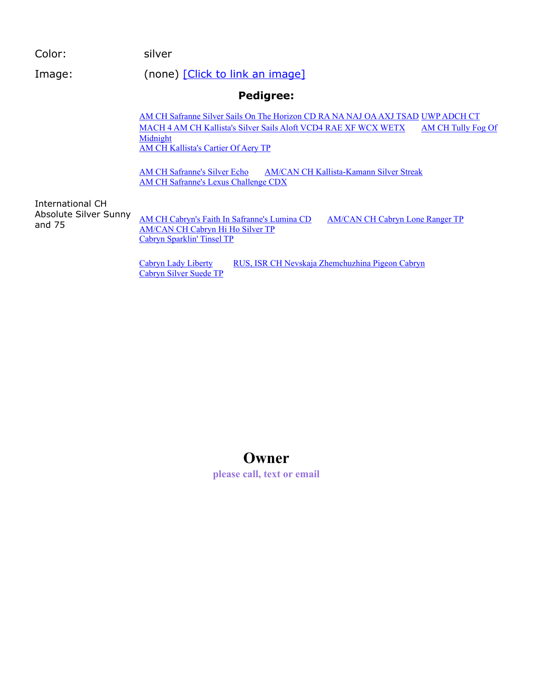**Pedigree:** Color: silver Image: (none) [\[Click to link an image\]](http://poodledata.org/editimage.asp?ID=528059) International CH Absolute Silver Sunny and 75 [AM CH Safranne Silver Sails On The Horizon CD RA NA NAJ OA AXJ TSA](http://poodledata.org/pedigree.asp?ID=374126)[D](http://poodledata.org/pedigree.asp?ID=26541) UWP ADCH CT [MACH 4 AM CH Kallista's Silver Sails Aloft VCD4 RAE XF WCX WETX](http://poodledata.org/pedigree.asp?ID=26542) AM CH Tully Fog Of Midnight [AM CH Kallista's Cartier Of Aery TP](http://poodledata.org/pedigree.asp?ID=51115) [AM CH Safranne's Silver Echo](http://poodledata.org/pedigree.asp?ID=319297) [AM/CAN CH Kallista-Kamann Silver Streak](http://poodledata.org/pedigree.asp?ID=26510) [AM CH Safranne's Lexus Challenge CDX](http://poodledata.org/pedigree.asp?ID=36546) [AM CH Cabryn's Faith In Safranne's Lumina CD](http://poodledata.org/pedigree.asp?ID=375347) [AM/CAN CH Cabryn Lone Ranger TP](http://poodledata.org/pedigree.asp?ID=346685) [AM/CAN CH Cabryn Hi Ho Silver TP](http://poodledata.org/pedigree.asp?ID=346741) [Cabryn Sparklin' Tinsel TP](http://poodledata.org/pedigree.asp?ID=346742) [Cabryn Lady Liberty](http://poodledata.org/pedigree.asp?ID=371226) [RUS, ISR CH Nevskaja Zhemchuzhina Pigeon Cabryn](http://poodledata.org/pedigree.asp?ID=352912)

[Cabryn Silver Suede TP](http://poodledata.org/pedigree.asp?ID=352913)

### **Owner**

**please call, text or email**